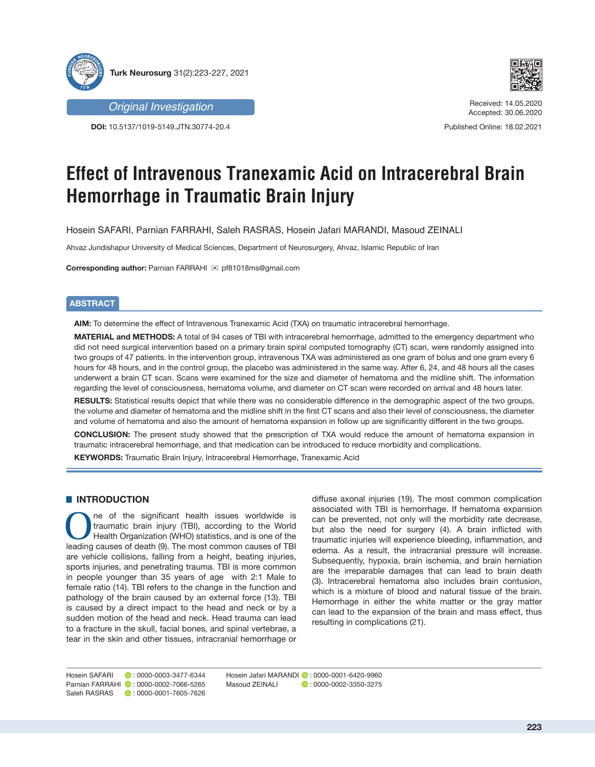



**DOI:** 10.5137/1019-5149.JTN.30774-20.4



Received: 14.05.2020 Accepted: 30.06.2020

Published Online: 18.02.2021

# **Effect of Intravenous Tranexamic Acid on Intracerebral Brain Hemorrhage in Traumatic Brain Injury**

Hosein SAFARI, Parnian FARRAHI, Saleh RASRAS, Hosein Jafari MARANDI, Masoud ZEINALI

Ahvaz Jundishapur University of Medical Sciences, Department of Neurosurgery, Ahvaz, Islamic Republic of Iran

**Corresponding author: Parnian FARRAHI ⊠ pf81018ms@gmail.com** 

# **ABSTRACT**

**AIM:** To determine the effect of Intravenous Tranexamic Acid (TXA) on traumatic intracerebral hemorrhage.

**MATERIAL and METHODS:** A total of 94 cases of TBI with intracerebral hemorrhage, admitted to the emergency department who did not need surgical intervention based on a primary brain spiral computed tomography (CT) scan, were randomly assigned into two groups of 47 patients. In the intervention group, intravenous TXA was administered as one gram of bolus and one gram every 6 hours for 48 hours, and in the control group, the placebo was administered in the same way. After 6, 24, and 48 hours all the cases underwent a brain CT scan. Scans were examined for the size and diameter of hematoma and the midline shift. The information regarding the level of consciousness, hematoma volume, and diameter on CT scan were recorded on arrival and 48 hours later.

**RESULTS:** Statistical results depict that while there was no considerable difference in the demographic aspect of the two groups, the volume and diameter of hematoma and the midline shift in the first CT scans and also their level of consciousness, the diameter and volume of hematoma and also the amount of hematoma expansion in follow up are significantly different in the two groups.

**CONCLUSION:** The present study showed that the prescription of TXA would reduce the amount of hematoma expansion in traumatic intracerebral hemorrhage, and that medication can be introduced to reduce morbidity and complications.

**KEYWORDS:** Traumatic Brain Injury, Intracerebral Hemorrhage, Tranexamic Acid

## **E** INTRODUCTION

ne of the significant health issues worldwide is traumatic brain injury (TBI), according to the World Health Organization (WHO) statistics, and is one of the leading causes of death (9). The most common causes of TBI are vehicle collisions, falling from a height, beating injuries, sports injuries, and penetrating trauma. TBI is more common in people younger than 35 years of age with 2:1 Male to female ratio (14). TBI refers to the change in the function and pathology of the brain caused by an external force (13). TBI is caused by a direct impact to the head and neck or by a sudden motion of the head and neck. Head trauma can lead to a fracture in the skull, facial bones, and spinal vertebrae, a tear in the skin and other tissues, intracranial hemorrhage or

diffuse axonal injuries (19). The most common complication associated with TBI is hemorrhage. If hematoma expansion can be prevented, not only will the morbidity rate decrease, but also the need for surgery (4). A brain inflicted with traumatic injuries will experience bleeding, inflammation, and edema. As a result, the intracranial pressure will increase. Subsequently, hypoxia, brain ischemia, and brain herniation are the irreparable damages that can lead to brain death (3). Intracerebral hematoma also includes brain contusion, which is a mixture of blood and natural tissue of the brain. Hemorrhage in either the white matter or the gray matter can lead to the expansion of the brain and mass effect, thus resulting in complications (21).

Hosein SAFARI **D**: 0000-0003-3477-6344 Parnian FARRAHI **D**: 0000-0002-7066-5265 Saleh RASRAS **: 0000-0001-7605-7626** 

Hosein Jafari MARANDI **0** : 0000-0001-6420-9960<br>Masoud ZEINALI 0 : 0000-0002-3350-3275  $\bullet$  : 0000-0002-3350-3275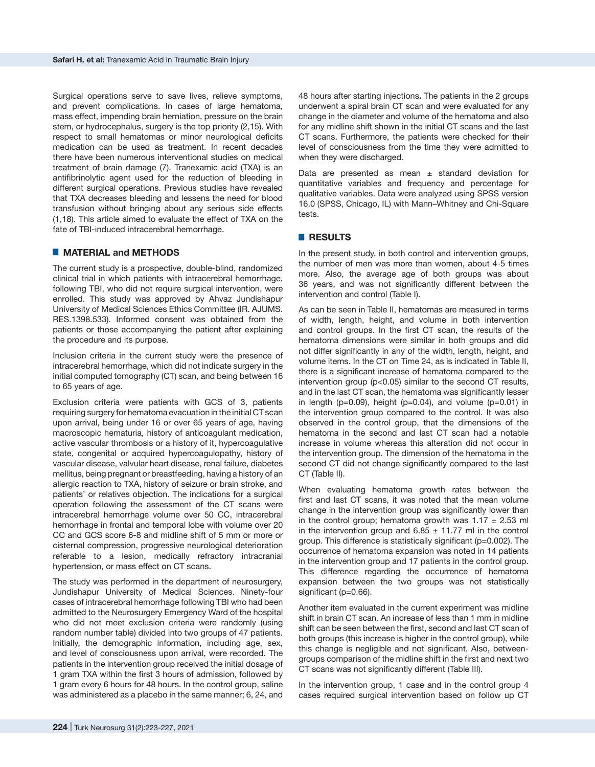Surgical operations serve to save lives, relieve symptoms, and prevent complications. In cases of large hematoma, mass effect, impending brain herniation, pressure on the brain stem, or hydrocephalus, surgery is the top priority (2,15). With respect to small hematomas or minor neurological deficits medication can be used as treatment. In recent decades there have been numerous interventional studies on medical treatment of brain damage (7). Tranexamic acid (TXA) is an antifibrinolytic agent used for the reduction of bleeding in different surgical operations. Previous studies have revealed that TXA decreases bleeding and lessens the need for blood transfusion without bringing about any serious side effects (1,18). This article aimed to evaluate the effect of TXA on the fate of TBI-induced intracerebral hemorrhage.

#### █ **MATERIAL and METHODS**

The current study is a prospective, double-blind, randomized clinical trial in which patients with intracerebral hemorrhage, following TBI, who did not require surgical intervention, were enrolled. This study was approved by Ahvaz Jundishapur University of Medical Sciences Ethics Committee (IR. AJUMS. RES.1398.533). Informed consent was obtained from the patients or those accompanying the patient after explaining the procedure and its purpose.

Inclusion criteria in the current study were the presence of intracerebral hemorrhage, which did not indicate surgery in the initial computed tomography (CT) scan, and being between 16 to 65 years of age.

Exclusion criteria were patients with GCS of 3, patients requiring surgery for hematoma evacuation in the initial CT scan upon arrival, being under 16 or over 65 years of age, having macroscopic hematuria, history of anticoagulant medication, active vascular thrombosis or a history of it, hypercoagulative state, congenital or acquired hypercoagulopathy, history of vascular disease, valvular heart disease, renal failure, diabetes mellitus, being pregnant or breastfeeding, having a history of an allergic reaction to TXA, history of seizure or brain stroke, and patients' or relatives objection. The indications for a surgical operation following the assessment of the CT scans were intracerebral hemorrhage volume over 50 CC, intracerebral hemorrhage in frontal and temporal lobe with volume over 20 CC and GCS score 6-8 and midline shift of 5 mm or more or cisternal compression, progressive neurological deterioration referable to a lesion, medically refractory intracranial hypertension, or mass effect on CT scans.

The study was performed in the department of neurosurgery, Jundishapur University of Medical Sciences. Ninety-four cases of intracerebral hemorrhage following TBI who had been admitted to the Neurosurgery Emergency Ward of the hospital who did not meet exclusion criteria were randomly (using random number table) divided into two groups of 47 patients. Initially, the demographic information, including age, sex, and level of consciousness upon arrival, were recorded. The patients in the intervention group received the initial dosage of 1 gram TXA within the first 3 hours of admission, followed by 1 gram every 6 hours for 48 hours. In the control group, saline was administered as a placebo in the same manner; 6, 24, and

48 hours after starting injections**.** The patients in the 2 groups underwent a spiral brain CT scan and were evaluated for any change in the diameter and volume of the hematoma and also for any midline shift shown in the initial CT scans and the last CT scans. Furthermore, the patients were checked for their level of consciousness from the time they were admitted to when they were discharged.

Data are presented as mean  $\pm$  standard deviation for quantitative variables and frequency and percentage for qualitative variables. Data were analyzed using SPSS version 16.0 (SPSS, Chicago, IL) with Mann–Whitney and Chi-Square tests.

#### █ **RESULTS**

In the present study, in both control and intervention groups, the number of men was more than women, about 4-5 times more. Also, the average age of both groups was about 36 years, and was not significantly different between the intervention and control (Table I).

As can be seen in Table II, hematomas are measured in terms of width, length, height, and volume in both intervention and control groups. In the first CT scan, the results of the hematoma dimensions were similar in both groups and did not differ significantly in any of the width, length, height, and volume items. In the CT on Time 24, as is indicated in Table II, there is a significant increase of hematoma compared to the intervention group (p<0.05) similar to the second CT results, and in the last CT scan, the hematoma was significantly lesser in length ( $p=0.09$ ), height ( $p=0.04$ ), and volume ( $p=0.01$ ) in the intervention group compared to the control. It was also observed in the control group, that the dimensions of the hematoma in the second and last CT scan had a notable increase in volume whereas this alteration did not occur in the intervention group. The dimension of the hematoma in the second CT did not change significantly compared to the last CT (Table II).

When evaluating hematoma growth rates between the first and last CT scans, it was noted that the mean volume change in the intervention group was significantly lower than in the control group; hematoma growth was  $1.17 \pm 2.53$  ml in the intervention group and  $6.85 \pm 11.77$  ml in the control group. This difference is statistically significant (p=0.002). The occurrence of hematoma expansion was noted in 14 patients in the intervention group and 17 patients in the control group. This difference regarding the occurrence of hematoma expansion between the two groups was not statistically significant (p=0.66).

Another item evaluated in the current experiment was midline shift in brain CT scan. An increase of less than 1 mm in midline shift can be seen between the first, second and last CT scan of both groups (this increase is higher in the control group), while this change is negligible and not significant. Also, betweengroups comparison of the midline shift in the first and next two CT scans was not significantly different (Table III).

In the intervention group, 1 case and in the control group 4 cases required surgical intervention based on follow up CT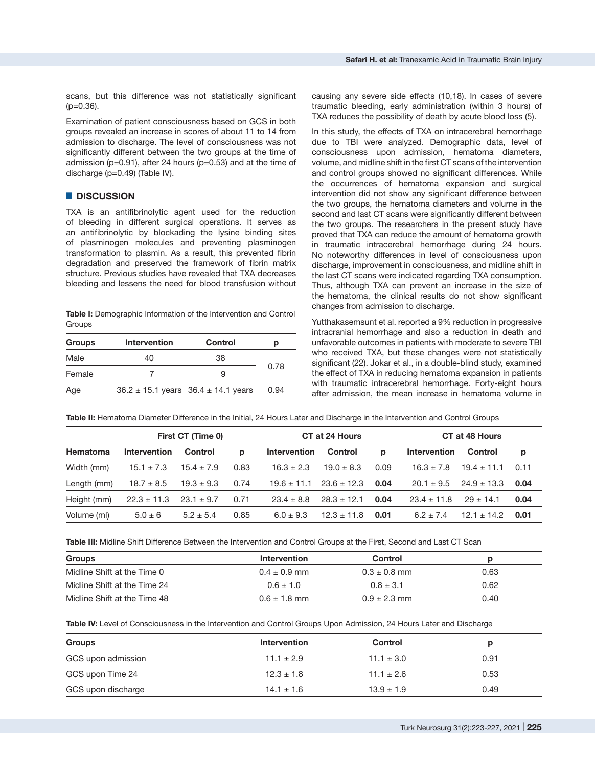scans, but this difference was not statistically significant  $(p=0.36)$ .

Examination of patient consciousness based on GCS in both groups revealed an increase in scores of about 11 to 14 from admission to discharge. The level of consciousness was not significantly different between the two groups at the time of admission (p=0.91), after 24 hours (p=0.53) and at the time of discharge (p=0.49) (Table IV).

# █ **DISCUSSION**

TXA is an antifibrinolytic agent used for the reduction of bleeding in different surgical operations. It serves as an antifibrinolytic by blockading the lysine binding sites of plasminogen molecules and preventing plasminogen transformation to plasmin. As a result, this prevented [fibrin](https://en.wikipedia.org/wiki/Fibrin) degradation and preserved the framework of fibrin matrix structure. Previous studies have revealed that TXA decreases bleeding and lessens the need for blood transfusion without

**Table I:** Demographic Information of the Intervention and Control **Groups** 

| <b>Intervention</b><br><b>Groups</b> |    | Control                                     | р    |  |
|--------------------------------------|----|---------------------------------------------|------|--|
| Male                                 | 40 | 38                                          |      |  |
| Female                               |    |                                             | 0.78 |  |
| Age                                  |    | $36.2 \pm 15.1$ years $36.4 \pm 14.1$ years | 0.94 |  |

causing any severe side effects (10,18). In cases of severe traumatic bleeding, early administration (within 3 hours) of TXA reduces the possibility of death by acute blood loss (5).

In this study, the effects of TXA on intracerebral hemorrhage due to TBI were analyzed. Demographic data, level of consciousness upon admission, hematoma diameters, volume, and midline shift in the first CT scans of the intervention and control groups showed no significant differences. While the occurrences of hematoma expansion and surgical intervention did not show any significant difference between the two groups, the hematoma diameters and volume in the second and last CT scans were significantly different between the two groups. The researchers in the present study have proved that TXA can reduce the amount of hematoma growth in traumatic intracerebral hemorrhage during 24 hours. No noteworthy differences in level of consciousness upon discharge, improvement in consciousness, and midline shift in the last CT scans were indicated regarding TXA consumption. Thus, although TXA can prevent an increase in the size of the hematoma, the clinical results do not show significant changes from admission to discharge.

Yutthakasemsunt et al. reported a 9% reduction in progressive intracranial hemorrhage and also a reduction in death and unfavorable outcomes in patients with moderate to severe TBI who received TXA, but these changes were not statistically significant (22). Jokar et al., in a double-blind study, examined the effect of TXA in reducing hematoma expansion in patients with traumatic intracerebral hemorrhage. Forty-eight hours after admission, the mean increase in hematoma volume in

**Table II:** Hematoma Diameter Difference in the Initial, 24 Hours Later and Discharge in the Intervention and Control Groups

| First CT (Time 0) |                 | CT at 24 Hours |      | CT at 48 Hours      |                 |      |                     |                 |      |
|-------------------|-----------------|----------------|------|---------------------|-----------------|------|---------------------|-----------------|------|
| <b>Hematoma</b>   | Intervention    | Control        | p    | <b>Intervention</b> | Control         | p    | <b>Intervention</b> | Control         | p    |
| Width (mm)        | $15.1 \pm 7.3$  | $15.4 \pm 7.9$ | 0.83 | $16.3 \pm 2.3$      | $19.0 \pm 8.3$  | 0.09 | $16.3 \pm 7.8$      | $19.4 \pm 11.1$ | 0.11 |
| Length (mm)       | $18.7 \pm 8.5$  | $19.3 \pm 9.3$ | 0.74 | $19.6 \pm 11.1$     | $23.6 \pm 12.3$ | 0.04 | $20.1 \pm 9.5$      | $24.9 \pm 13.3$ | 0.04 |
| Height (mm)       | $22.3 \pm 11.3$ | $23.1 \pm 9.7$ | 0.71 | $23.4 \pm 8.8$      | $28.3 \pm 12.1$ | 0.04 | $23.4 \pm 11.8$     | $29 \pm 14.1$   | 0.04 |
| Volume (ml)       | $5.0 \pm 6$     | $5.2 \pm 5.4$  | 0.85 | $6.0 \pm 9.3$       | $12.3 \pm 11.8$ | 0.01 | $6.2 + 7.4$         | $12.1 \pm 14.2$ | 0.01 |

**Table III:** Midline Shift Difference Between the Intervention and Control Groups at the First, Second and Last CT Scan

| Groups                       | Intervention     | Control          |      |
|------------------------------|------------------|------------------|------|
| Midline Shift at the Time 0  | $0.4 + 0.9$ mm   | $0.3 \pm 0.8$ mm | 0.63 |
| Midline Shift at the Time 24 | $0.6 \pm 1.0$    | $0.8 + 3.1$      | 0.62 |
| Midline Shift at the Time 48 | $0.6 \pm 1.8$ mm | $0.9 + 2.3$ mm   | 0.40 |

**Table IV:** Level of Consciousness in the Intervention and Control Groups Upon Admission, 24 Hours Later and Discharge

| Groups             | <b>Intervention</b> | <b>Control</b> |      |
|--------------------|---------------------|----------------|------|
| GCS upon admission | $11.1 \pm 2.9$      | $11.1 \pm 3.0$ | 0.91 |
| GCS upon Time 24   | $12.3 \pm 1.8$      | $11.1 + 2.6$   | 0.53 |
| GCS upon discharge | $14.1 \pm 1.6$      | $13.9 \pm 1.9$ | 0.49 |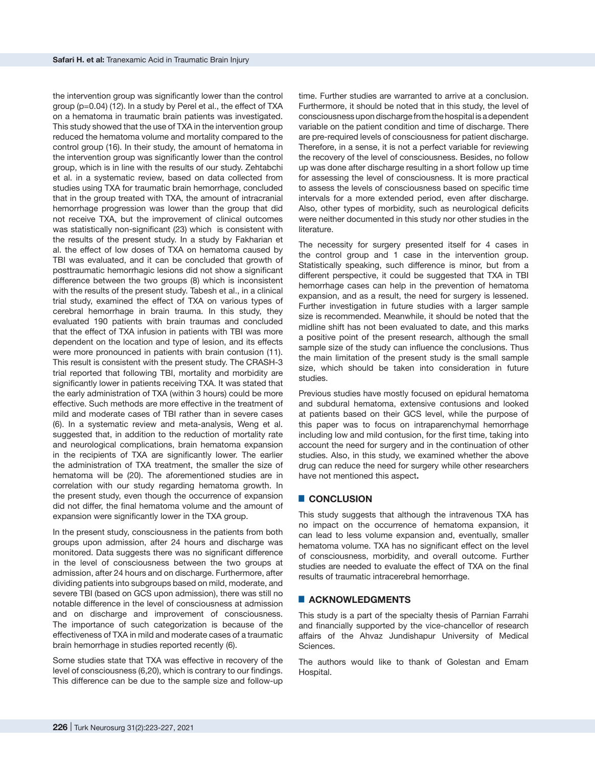the intervention group was significantly lower than the control group (p=0.04) (12). In a study by Perel et al., the effect of TXA on a hematoma in traumatic brain patients was investigated. This study showed that the use of TXA in the intervention group reduced the hematoma volume and mortality compared to the control group (16). In their study, the amount of hematoma in the intervention group was significantly lower than the control group, which is in line with the results of our study. Zehtabchi et al. in a systematic review, based on data collected from studies using TXA for traumatic brain hemorrhage, concluded that in the group treated with TXA, the amount of intracranial hemorrhage progression was lower than the group that did not receive TXA, but the improvement of clinical outcomes was statistically non-significant (23) which is consistent with the results of the present study. In a study by Fakharian et al. the effect of low doses of TXA on hematoma caused by TBI was evaluated, and it can be concluded that growth of posttraumatic hemorrhagic lesions did not show a significant difference between the two groups (8) which is inconsistent with the results of the present study. Tabesh et al., in a clinical trial study, examined the effect of TXA on various types of cerebral hemorrhage in brain trauma. In this study, they evaluated 190 patients with brain traumas and concluded that the effect of TXA infusion in patients with TBI was more dependent on the location and type of lesion, and its effects were more pronounced in patients with brain contusion (11). This result is consistent with the present study. The CRASH-3 trial reported that following TBI, mortality and morbidity are significantly lower in patients receiving TXA. It was stated that the early administration of TXA (within 3 hours) could be more effective. Such methods are more effective in the treatment of mild and moderate cases of TBI rather than in severe cases (6). In a systematic review and meta-analysis, Weng et al. suggested that, in addition to the reduction of mortality rate and neurological complications, brain hematoma expansion in the recipients of TXA are significantly lower. The earlier the administration of TXA treatment, the smaller the size of hematoma will be (20). The aforementioned studies are in correlation with our study regarding hematoma growth. In the present study, even though the occurrence of expansion did not differ, the final hematoma volume and the amount of expansion were significantly lower in the TXA group.

In the present study, consciousness in the patients from both groups upon admission, after 24 hours and discharge was monitored. Data suggests there was no significant difference in the level of consciousness between the two groups at admission, after 24 hours and on discharge. Furthermore, after dividing patients into subgroups based on mild, moderate, and severe TBI (based on GCS upon admission), there was still no notable difference in the level of consciousness at admission and on discharge and improvement of consciousness. The importance of such categorization is because of the effectiveness of TXA in mild and moderate cases of a traumatic brain hemorrhage in studies reported recently (6).

Some studies state that TXA was effective in recovery of the level of consciousness (6,20), which is contrary to our findings. This difference can be due to the sample size and follow-up

time. Further studies are warranted to arrive at a conclusion. Furthermore, it should be noted that in this study, the level of consciousness upon discharge from the hospital is a dependent variable on the patient condition and time of discharge. There are pre-required levels of consciousness for patient discharge. Therefore, in a sense, it is not a perfect variable for reviewing the recovery of the level of consciousness. Besides, no follow up was done after discharge resulting in a short follow up time for assessing the level of consciousness. It is more practical to assess the levels of consciousness based on specific time intervals for a more extended period, even after discharge. Also, other types of morbidity, such as neurological deficits were neither documented in this study nor other studies in the **literature** 

The necessity for surgery presented itself for 4 cases in the control group and 1 case in the intervention group. Statistically speaking, such difference is minor, but from a different perspective, it could be suggested that TXA in TBI hemorrhage cases can help in the prevention of hematoma expansion, and as a result, the need for surgery is lessened. Further investigation in future studies with a larger sample size is recommended. Meanwhile, it should be noted that the midline shift has not been evaluated to date, and this marks a positive point of the present research, although the small sample size of the study can influence the conclusions. Thus the main limitation of the present study is the small sample size, which should be taken into consideration in future studies.

Previous studies have mostly focused on epidural hematoma and subdural hematoma, extensive contusions and looked at patients based on their GCS level, while the purpose of this paper was to focus on intraparenchymal hemorrhage including low and mild contusion, for the first time, taking into account the need for surgery and in the continuation of other studies. Also, in this study, we examined whether the above drug can reduce the need for surgery while other researchers have not mentioned this aspect**.**

## █ **CONCLUSION**

This study suggests that although the intravenous TXA has no impact on the occurrence of hematoma expansion, it can lead to less volume expansion and, eventually, smaller hematoma volume. TXA has no significant effect on the level of consciousness, morbidity, and overall outcome. Further studies are needed to evaluate the effect of TXA on the final results of traumatic intracerebral hemorrhage.

## █ **ACKNOWLEDGMENTS**

This study is a part of the specialty thesis of Parnian Farrahi and financially supported by the vice-chancellor of research affairs of the Ahvaz Jundishapur University of Medical Sciences.

The authors would like to thank of Golestan and Emam Hospital.